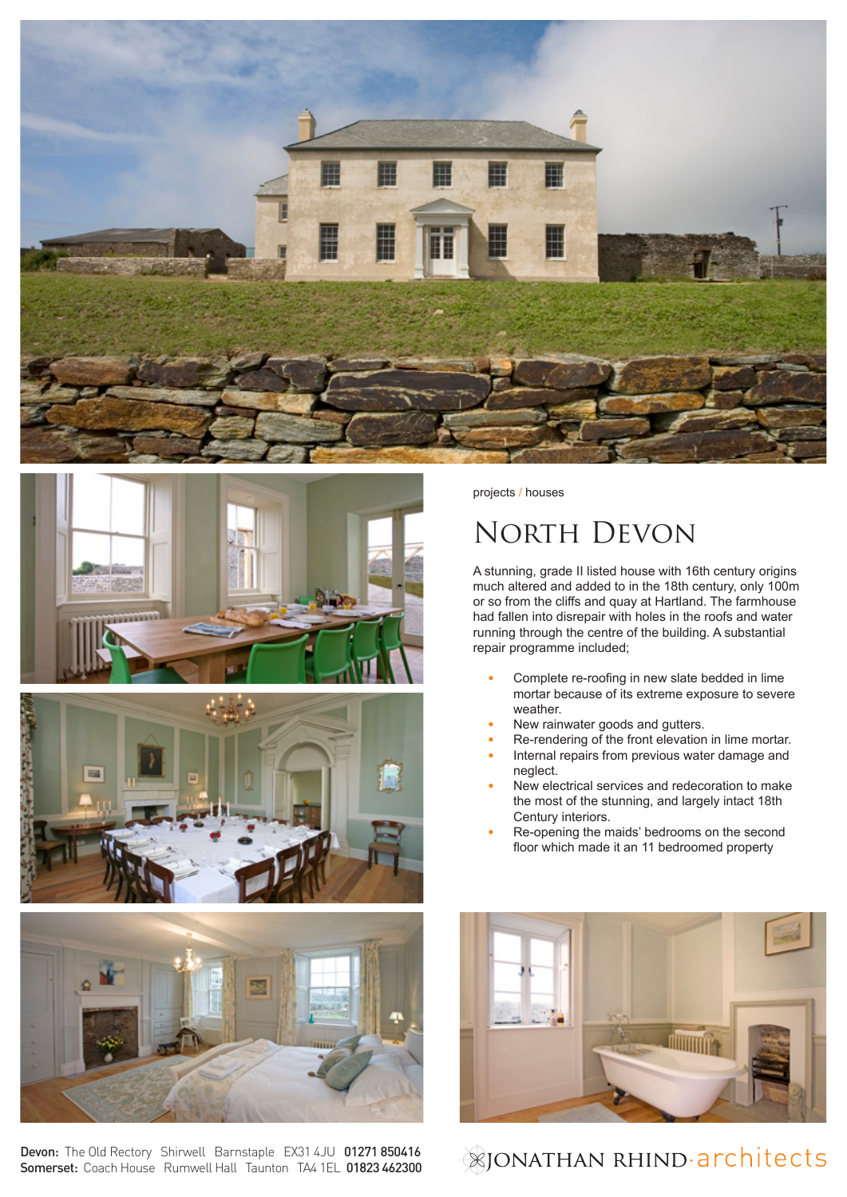







Devon: The Old Rectory Shirwell Barnstaple EX31 4JU 01271 850416 Somerset: Coach House Rumwell Hall Taunton TA4 1EL 01823 462300 projects / houses

## North Devon

A stunning, grade II listed house with 16th century origins much altered and added to in the 18th century, only 100m or so from the cliffs and quay at Hartland. The farmhouse had fallen into disrepair with holes in the roofs and water running through the centre of the building. A substantial repair programme included;

- **•** Complete re-roofing in new slate bedded in lime mortar because of its extreme exposure to severe weather.
- **•** New rainwater goods and gutters.
- **•** Re-rendering of the front elevation in lime mortar. **•** Internal repairs from previous water damage and
- neglect.
- **•** New electrical services and redecoration to make the most of the stunning, and largely intact 18th Century interiors.
- **•** Re-opening the maids' bedrooms on the second floor which made it an 11 bedroomed property



**&JONATHAN RHIND-architects**